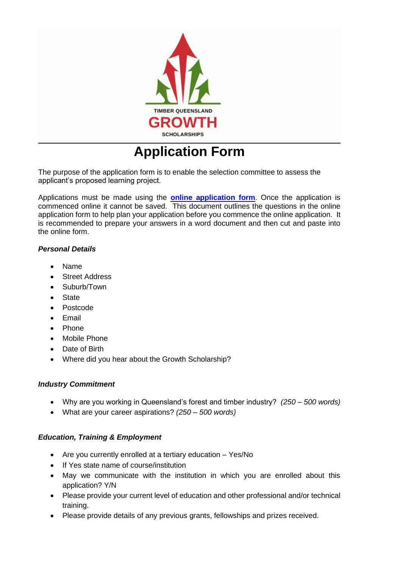

# **Application Form**

The purpose of the application form is to enable the selection committee to assess the applicant's proposed learning project.

Applications must be made using the **online [application](https://www.surveymonkey.com/r/LDNKKYG) form**. Once the application is commenced online it cannot be saved. This document outlines the questions in the online application form to help plan your application before you commence the online application. It is recommended to prepare your answers in a word document and then cut and paste into the online form.

# *Personal Details*

- Name
- Street Address
- Suburb/Town
- State
- Postcode
- **Email**
- Phone
- Mobile Phone
- Date of Birth
- Where did you hear about the Growth Scholarship?

### *Industry Commitment*

- Why are you working in Queensland's forest and timber industry? *(250 – 500 words)*
- What are your career aspirations? *(250 – 500 words)*

# *Education, Training & Employment*

- Are you currently enrolled at a tertiary education Yes/No
- If Yes state name of course/institution
- May we communicate with the institution in which you are enrolled about this application? Y/N
- Please provide your current level of education and other professional and/or technical training.
- Please provide details of any previous grants, fellowships and prizes received.